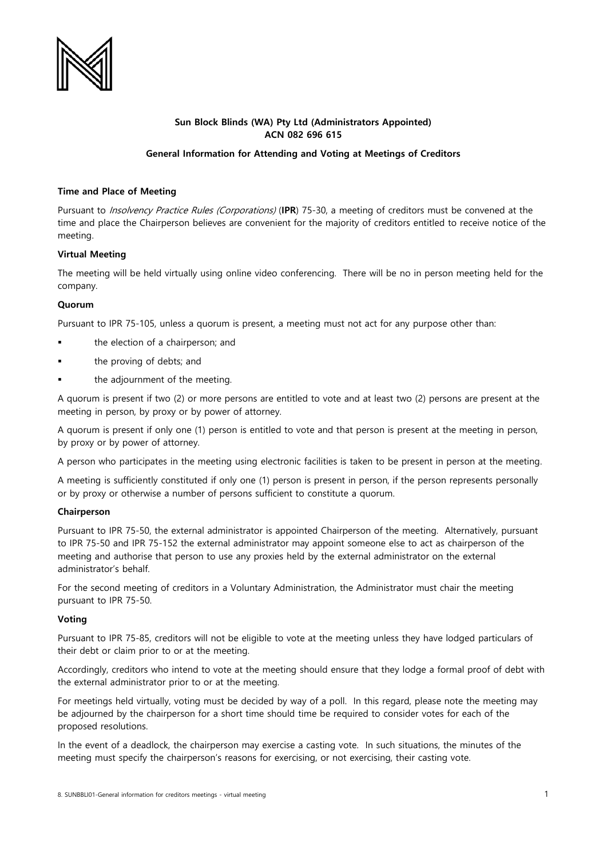

# **Sun Block Blinds (WA) Pty Ltd (Administrators Appointed) ACN 082 696 615**

## **General Information for Attending and Voting at Meetings of Creditors**

### **Time and Place of Meeting**

Pursuant to Insolvency Practice Rules (Corporations) (**IPR**) 75-30, a meeting of creditors must be convened at the time and place the Chairperson believes are convenient for the majority of creditors entitled to receive notice of the meeting.

# **Virtual Meeting**

The meeting will be held virtually using online video conferencing. There will be no in person meeting held for the company.

### **Quorum**

Pursuant to IPR 75-105, unless a quorum is present, a meeting must not act for any purpose other than:

- the election of a chairperson; and
- the proving of debts; and
- the adjournment of the meeting.

A quorum is present if two (2) or more persons are entitled to vote and at least two (2) persons are present at the meeting in person, by proxy or by power of attorney.

A quorum is present if only one (1) person is entitled to vote and that person is present at the meeting in person, by proxy or by power of attorney.

A person who participates in the meeting using electronic facilities is taken to be present in person at the meeting.

A meeting is sufficiently constituted if only one (1) person is present in person, if the person represents personally or by proxy or otherwise a number of persons sufficient to constitute a quorum.

### **Chairperson**

Pursuant to IPR 75-50, the external administrator is appointed Chairperson of the meeting. Alternatively, pursuant to IPR 75-50 and IPR 75-152 the external administrator may appoint someone else to act as chairperson of the meeting and authorise that person to use any proxies held by the external administrator on the external administrator's behalf.

For the second meeting of creditors in a Voluntary Administration, the Administrator must chair the meeting pursuant to IPR 75-50.

### **Voting**

Pursuant to IPR 75-85, creditors will not be eligible to vote at the meeting unless they have lodged particulars of their debt or claim prior to or at the meeting.

Accordingly, creditors who intend to vote at the meeting should ensure that they lodge a formal proof of debt with the external administrator prior to or at the meeting.

For meetings held virtually, voting must be decided by way of a poll. In this regard, please note the meeting may be adjourned by the chairperson for a short time should time be required to consider votes for each of the proposed resolutions.

In the event of a deadlock, the chairperson may exercise a casting vote. In such situations, the minutes of the meeting must specify the chairperson's reasons for exercising, or not exercising, their casting vote.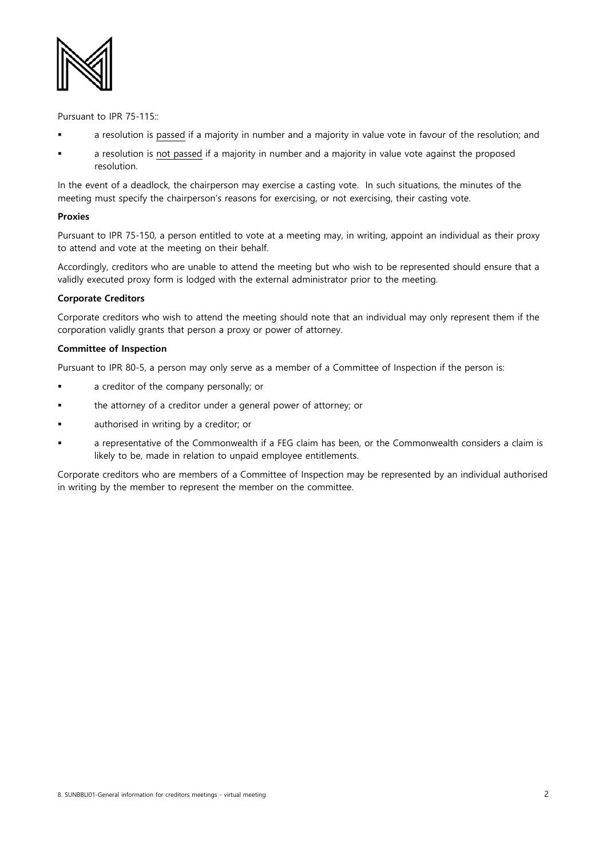

Pursuant to IPR 75-115::

- a resolution is passed if a majority in number and a majority in value vote in favour of the resolution; and
- a resolution is not passed if a majority in number and a majority in value vote against the proposed resolution.

In the event of a deadlock, the chairperson may exercise a casting vote. In such situations, the minutes of the meeting must specify the chairperson's reasons for exercising, or not exercising, their casting vote.

#### **Proxies**

Pursuant to IPR 75-150, a person entitled to vote at a meeting may, in writing, appoint an individual as their proxy to attend and vote at the meeting on their behalf.

Accordingly, creditors who are unable to attend the meeting but who wish to be represented should ensure that a validly executed proxy form is lodged with the external administrator prior to the meeting.

## **Corporate Creditors**

Corporate creditors who wish to attend the meeting should note that an individual may only represent them if the corporation validly grants that person a proxy or power of attorney.

#### **Committee of Inspection**

Pursuant to IPR 80-5, a person may only serve as a member of a Committee of Inspection if the person is:

- a creditor of the company personally; or
- the attorney of a creditor under a general power of attorney; or
- authorised in writing by a creditor; or
- a representative of the Commonwealth if a FEG claim has been, or the Commonwealth considers a claim is likely to be, made in relation to unpaid employee entitlements.

Corporate creditors who are members of a Committee of Inspection may be represented by an individual authorised in writing by the member to represent the member on the committee.